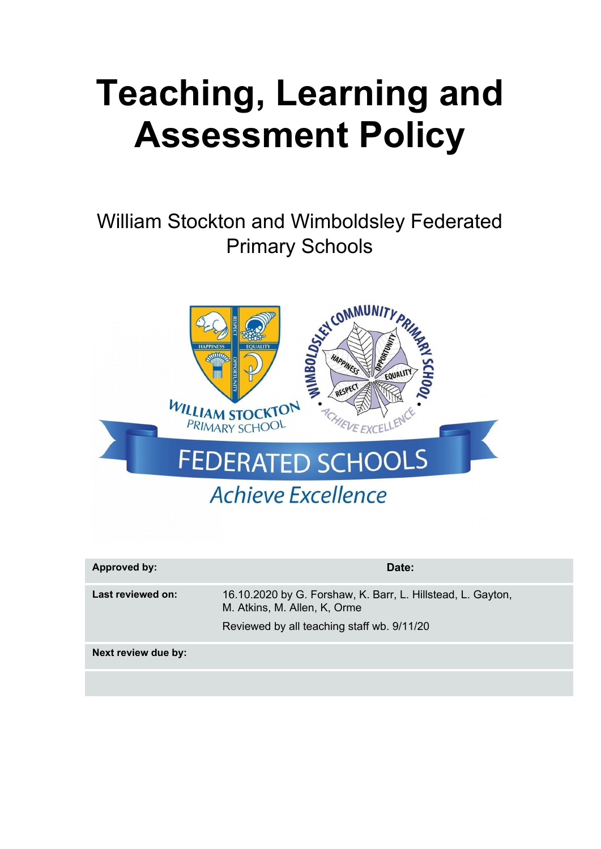# **Teaching, Learning and Assessment Policy**

# William Stockton and Wimboldsley Federated Primary Schools



| Approved by:        | Date:                                                                                                                                     |
|---------------------|-------------------------------------------------------------------------------------------------------------------------------------------|
| Last reviewed on:   | 16.10.2020 by G. Forshaw, K. Barr, L. Hillstead, L. Gayton,<br>M. Atkins, M. Allen, K. Orme<br>Reviewed by all teaching staff wb. 9/11/20 |
| Next review due by: |                                                                                                                                           |
|                     |                                                                                                                                           |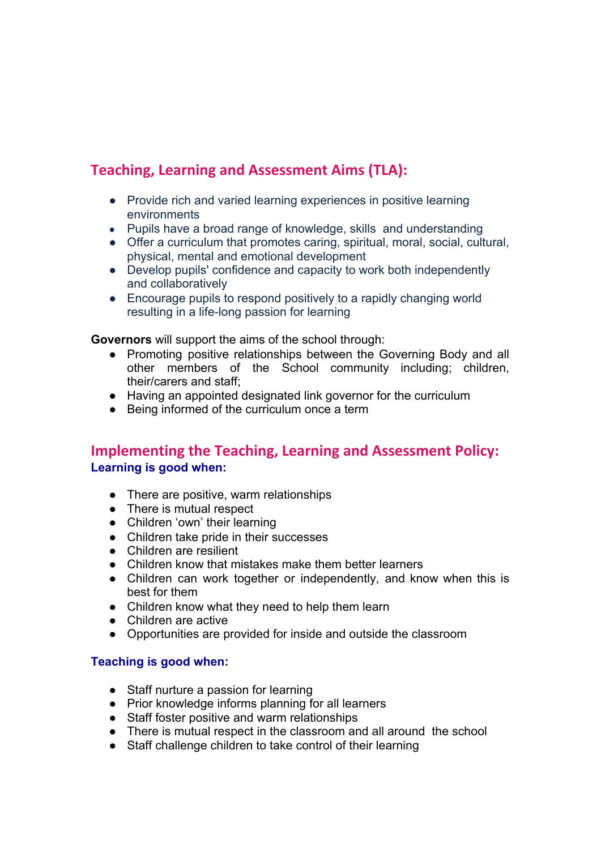### **Teaching, Learning and Assessment Aims (TLA):**

- Provide rich and varied learning experiences in positive learning environments
- Pupils have a broad range of knowledge, skills and understanding
- Offer a curriculum that promotes caring, spiritual, moral, social, cultural, physical, mental and emotional development
- Develop pupils' confidence and capacity to work both independently and collaboratively
- Encourage pupils to respond positively to a rapidly changing world resulting in a life-long passion for learning

**Governors** will support the aims of the school through:

- Promoting positive relationships between the Governing Body and all other members of the School community including; children, their/carers and staff;
- Having an appointed designated link governor for the curriculum
- Being informed of the curriculum once a term

#### **Implementing the Teaching, Learning and Assessment Policy: Learning is good when:**

- There are positive, warm relationships
- There is mutual respect
- Children 'own' their learning
- Children take pride in their successes
- Children are resilient
- Children know that mistakes make them better learners
- Children can work together or independently, and know when this is best for them
- Children know what they need to help them learn
- Children are active
- Opportunities are provided for inside and outside the classroom

#### **Teaching is good when:**

- Staff nurture a passion for learning
- Prior knowledge informs planning for all learners
- Staff foster positive and warm relationships
- There is mutual respect in the classroom and all around the school
- Staff challenge children to take control of their learning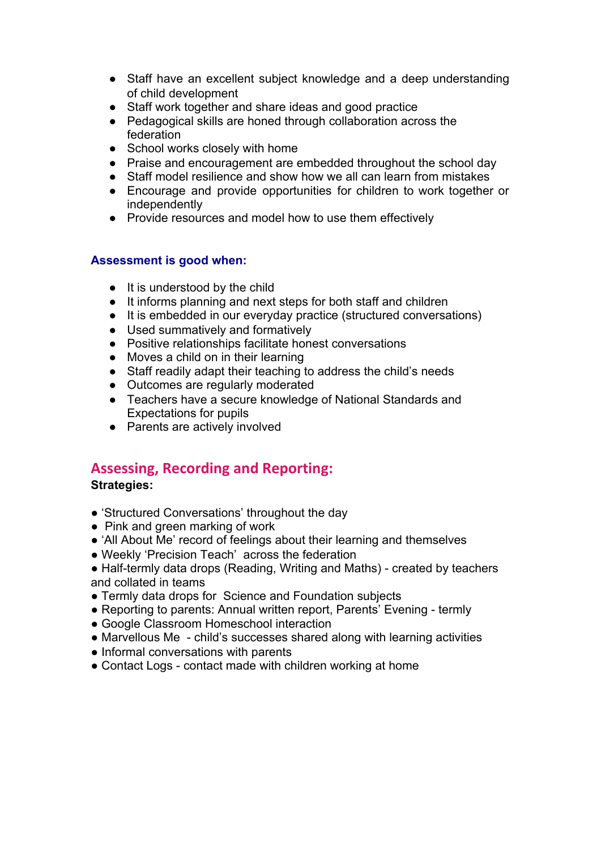- Staff have an excellent subject knowledge and a deep understanding of child development
- Staff work together and share ideas and good practice
- Pedagogical skills are honed through collaboration across the federation
- School works closely with home
- Praise and encouragement are embedded throughout the school day
- Staff model resilience and show how we all can learn from mistakes
- Encourage and provide opportunities for children to work together or independently
- Provide resources and model how to use them effectively

#### **Assessment is good when:**

- It is understood by the child
- It informs planning and next steps for both staff and children
- It is embedded in our everyday practice (structured conversations)
- Used summatively and formatively
- Positive relationships facilitate honest conversations
- Moves a child on in their learning
- Staff readily adapt their teaching to address the child's needs
- Outcomes are regularly moderated
- Teachers have a secure knowledge of National Standards and Expectations for pupils
- Parents are actively involved

#### **Assessing, Recording and Reporting:**

#### **Strategies:**

- 'Structured Conversations' throughout the day
- Pink and green marking of work
- 'All About Me' record of feelings about their learning and themselves
- Weekly 'Precision Teach' across the federation
- Half-termly data drops (Reading, Writing and Maths) created by teachers and collated in teams
- Termly data drops for Science and Foundation subjects
- Reporting to parents: Annual written report, Parents' Evening termly
- Google Classroom Homeschool interaction
- Marvellous Me child's successes shared along with learning activities
- Informal conversations with parents
- Contact Logs contact made with children working at home